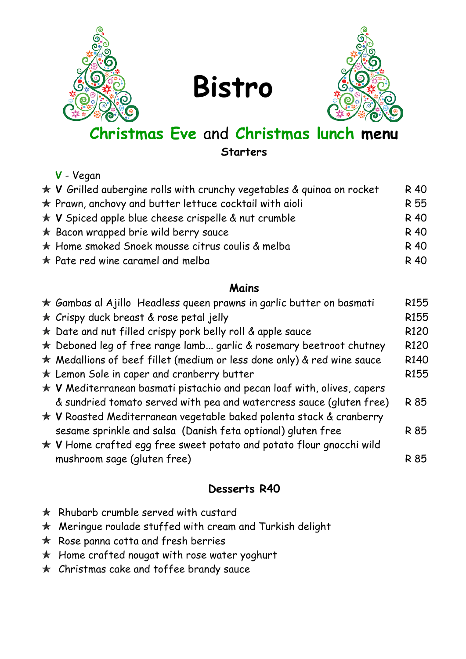

**Bistro**



# **Christmas Eve** and **Christmas lunch menu**

**Starters**

### **V** - Vegan

| $\star$ V Grilled aubergine rolls with crunchy vegetables & quinoa on rocket | R 40 |
|------------------------------------------------------------------------------|------|
| $\star$ Prawn, anchovy and butter lettuce cocktail with aioli                | R 55 |
| $\star$ V Spiced apple blue cheese crispelle & nut crumble                   | R 40 |
| $\star$ Bacon wrapped brie wild berry sauce                                  | R 40 |
| $\star$ Home smoked Snoek mousse citrus coulis & melba                       | R 40 |
| $\star$ Pate red wine caramel and melba                                      | R 40 |
|                                                                              |      |

#### **Mains**

| $\star$ Gambas al Ajillo Headless queen prawns in garlic butter on basmati    | R <sub>155</sub> |
|-------------------------------------------------------------------------------|------------------|
| * Crispy duck breast & rose petal jelly                                       | R <sub>155</sub> |
| the bate and nut filled crispy pork belly roll & apple sauce                  | R <sub>120</sub> |
| $\star$ Deboned leg of free range lamb garlic & rosemary beetroot chutney     | R <sub>120</sub> |
| $\star$ Medallions of beef fillet (medium or less done only) & red wine sauce | R <sub>140</sub> |
| $\star$ Lemon Sole in caper and cranberry butter                              | R <sub>155</sub> |
| $\star$ V Mediterranean basmati pistachio and pecan loaf with, olives, capers |                  |
| & sundried tomato served with pea and watercress sauce (gluten free)          | R 85             |
| ★ V Roasted Mediterranean vegetable baked polenta stack & cranberry           |                  |
| sesame sprinkle and salsa (Danish feta optional) gluten free                  | R 85             |
| $\star$ V Home crafted egg free sweet potato and potato flour gnocchi wild    |                  |
| mushroom sage (gluten free)                                                   | R 85             |
|                                                                               |                  |

### **Desserts R40**

- $\star$  Rhubarb crumble served with custard
- Meringue roulade stuffed with cream and Turkish delight
- $\star$  Rose panna cotta and fresh berries
- $\star$  Home crafted nougat with rose water yoghurt
- $\star$  Christmas cake and toffee brandy sauce